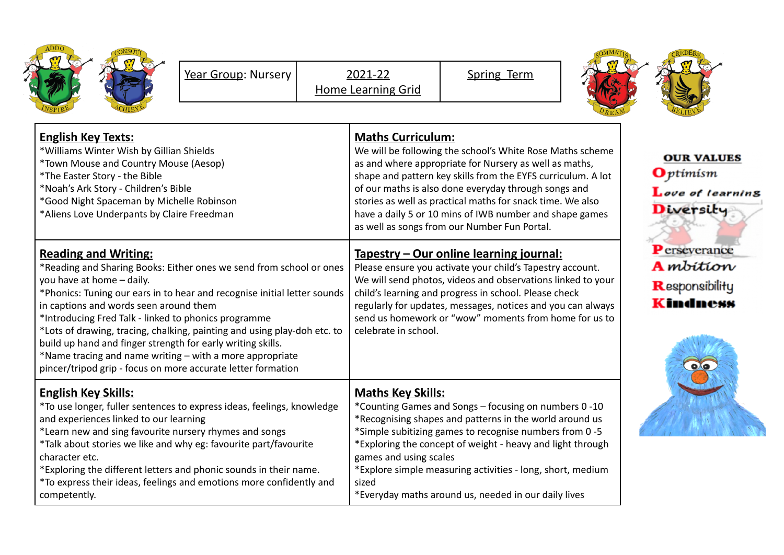| ADDO<br><b>NSQUT</b><br>z<br>INSPIRE |  |
|--------------------------------------|--|
|--------------------------------------|--|

Spring Term



| <b>English Key Texts:</b><br>*Williams Winter Wish by Gillian Shields<br>*Town Mouse and Country Mouse (Aesop)<br>*The Easter Story - the Bible<br>*Noah's Ark Story - Children's Bible<br>*Good Night Spaceman by Michelle Robinson<br>*Aliens Love Underpants by Claire Freedman                                                                                                                                                                                                                                                                                                   | <b>Maths Curriculum:</b><br>We will be following the school's White Rose Maths scheme<br>as and where appropriate for Nursery as well as maths,<br>shape and pattern key skills from the EYFS curriculum. A lot<br>of our maths is also done everyday through songs and<br>stories as well as practical maths for snack time. We also<br>have a daily 5 or 10 mins of IWB number and shape games<br>as well as songs from our Number Fun Portal. | <b>OUR VALUES</b><br>$\mathbf{O}$ ptimism<br>Love of learning<br>Diversity |  |
|--------------------------------------------------------------------------------------------------------------------------------------------------------------------------------------------------------------------------------------------------------------------------------------------------------------------------------------------------------------------------------------------------------------------------------------------------------------------------------------------------------------------------------------------------------------------------------------|--------------------------------------------------------------------------------------------------------------------------------------------------------------------------------------------------------------------------------------------------------------------------------------------------------------------------------------------------------------------------------------------------------------------------------------------------|----------------------------------------------------------------------------|--|
| <b>Reading and Writing:</b><br>*Reading and Sharing Books: Either ones we send from school or ones<br>you have at home - daily.<br>*Phonics: Tuning our ears in to hear and recognise initial letter sounds<br>in captions and words seen around them<br>*Introducing Fred Talk - linked to phonics programme<br>*Lots of drawing, tracing, chalking, painting and using play-doh etc. to<br>build up hand and finger strength for early writing skills.<br>*Name tracing and name writing - with a more appropriate<br>pincer/tripod grip - focus on more accurate letter formation | <u>Tapestry – Our online learning journal:</u><br>Please ensure you activate your child's Tapestry account.<br>We will send photos, videos and observations linked to your<br>child's learning and progress in school. Please check<br>regularly for updates, messages, notices and you can always<br>send us homework or "wow" moments from home for us to<br>celebrate in school.                                                              | <b>P</b> erseverance<br><b>A</b> mbítíon<br>Responsibility<br>Kindness     |  |
| <b>English Key Skills:</b><br>*To use longer, fuller sentences to express ideas, feelings, knowledge<br>and experiences linked to our learning<br>*Learn new and sing favourite nursery rhymes and songs<br>*Talk about stories we like and why eg: favourite part/favourite<br>character etc.<br>*Exploring the different letters and phonic sounds in their name.<br>*To express their ideas, feelings and emotions more confidently and<br>competently.                                                                                                                           | <b>Maths Key Skills:</b><br>*Counting Games and Songs - focusing on numbers 0 -10<br>*Recognising shapes and patterns in the world around us<br>*Simple subitizing games to recognise numbers from 0-5<br>*Exploring the concept of weight - heavy and light through<br>games and using scales<br>*Explore simple measuring activities - long, short, medium<br>sized<br>*Everyday maths around us, needed in our daily lives                    |                                                                            |  |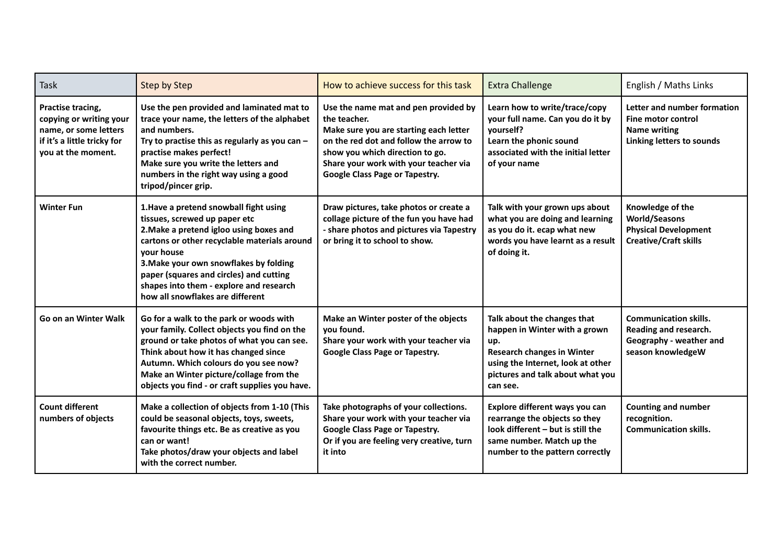| <b>Task</b>                                                                                                                | <b>Step by Step</b>                                                                                                                                                                                                                                                                                                                                  | How to achieve success for this task                                                                                                                                                                                                                   | <b>Extra Challenge</b>                                                                                                                                                                        | English / Maths Links                                                                                   |
|----------------------------------------------------------------------------------------------------------------------------|------------------------------------------------------------------------------------------------------------------------------------------------------------------------------------------------------------------------------------------------------------------------------------------------------------------------------------------------------|--------------------------------------------------------------------------------------------------------------------------------------------------------------------------------------------------------------------------------------------------------|-----------------------------------------------------------------------------------------------------------------------------------------------------------------------------------------------|---------------------------------------------------------------------------------------------------------|
| Practise tracing,<br>copying or writing your<br>name, or some letters<br>if it's a little tricky for<br>you at the moment. | Use the pen provided and laminated mat to<br>trace your name, the letters of the alphabet<br>and numbers.<br>Try to practise this as regularly as you can $-$<br>practise makes perfect!<br>Make sure you write the letters and<br>numbers in the right way using a good<br>tripod/pincer grip.                                                      | Use the name mat and pen provided by<br>the teacher.<br>Make sure you are starting each letter<br>on the red dot and follow the arrow to<br>show you which direction to go.<br>Share your work with your teacher via<br>Google Class Page or Tapestry. | Learn how to write/trace/copy<br>your full name. Can you do it by<br>yourself?<br>Learn the phonic sound<br>associated with the initial letter<br>of your name                                | Letter and number formation<br>Fine motor control<br><b>Name writing</b><br>Linking letters to sounds   |
| <b>Winter Fun</b>                                                                                                          | 1. Have a pretend snowball fight using<br>tissues, screwed up paper etc<br>2. Make a pretend igloo using boxes and<br>cartons or other recyclable materials around<br>your house<br>3. Make your own snowflakes by folding<br>paper (squares and circles) and cutting<br>shapes into them - explore and research<br>how all snowflakes are different | Draw pictures, take photos or create a<br>collage picture of the fun you have had<br>- share photos and pictures via Tapestry<br>or bring it to school to show.                                                                                        | Talk with your grown ups about<br>what you are doing and learning<br>as you do it. ecap what new<br>words you have learnt as a result<br>of doing it.                                         | Knowledge of the<br><b>World/Seasons</b><br><b>Physical Development</b><br><b>Creative/Craft skills</b> |
| Go on an Winter Walk                                                                                                       | Go for a walk to the park or woods with<br>your family. Collect objects you find on the<br>ground or take photos of what you can see.<br>Think about how it has changed since<br>Autumn. Which colours do you see now?<br>Make an Winter picture/collage from the<br>objects you find - or craft supplies you have.                                  | Make an Winter poster of the objects<br>you found.<br>Share your work with your teacher via<br>Google Class Page or Tapestry.                                                                                                                          | Talk about the changes that<br>happen in Winter with a grown<br>up.<br><b>Research changes in Winter</b><br>using the Internet, look at other<br>pictures and talk about what you<br>can see. | <b>Communication skills.</b><br>Reading and research.<br>Geography - weather and<br>season knowledgeW   |
| <b>Count different</b><br>numbers of objects                                                                               | Make a collection of objects from 1-10 (This<br>could be seasonal objects, toys, sweets,<br>favourite things etc. Be as creative as you<br>can or want!<br>Take photos/draw your objects and label<br>with the correct number.                                                                                                                       | Take photographs of your collections.<br>Share your work with your teacher via<br>Google Class Page or Tapestry.<br>Or if you are feeling very creative, turn<br>it into                                                                               | Explore different ways you can<br>rearrange the objects so they<br>look different - but is still the<br>same number. Match up the<br>number to the pattern correctly                          | <b>Counting and number</b><br>recognition.<br><b>Communication skills.</b>                              |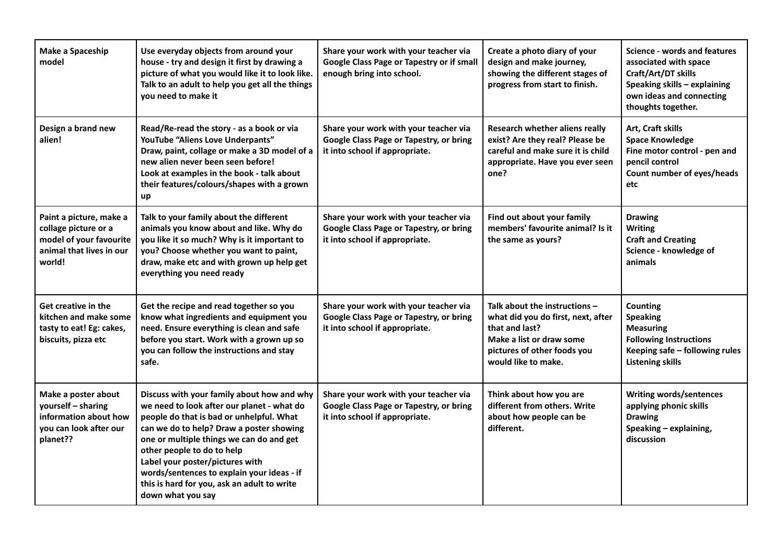| Make a Spaceship<br>model                                                                                        | Use everyday objects from around your<br>house - try and design it first by drawing a<br>picture of what you would like it to look like.<br>Talk to an adult to help you get all the things<br>you need to make it                                                                                                                                                                                              | Share your work with your teacher via<br>Google Class Page or Tapestry or if small<br>enough bring into school.    | Create a photo diary of your<br>design and make journey,<br>showing the different stages of<br>progress from start to finish.                                           | Science - words and features<br>associated with space<br>Craft/Art/DT skills<br>Speaking skills - explaining<br>own ideas and connecting<br>thoughts together. |
|------------------------------------------------------------------------------------------------------------------|-----------------------------------------------------------------------------------------------------------------------------------------------------------------------------------------------------------------------------------------------------------------------------------------------------------------------------------------------------------------------------------------------------------------|--------------------------------------------------------------------------------------------------------------------|-------------------------------------------------------------------------------------------------------------------------------------------------------------------------|----------------------------------------------------------------------------------------------------------------------------------------------------------------|
| Design a brand new<br>alien!                                                                                     | Read/Re-read the story - as a book or via<br>YouTube "Aliens Love Underpants"<br>Draw, paint, collage or make a 3D model of a<br>new alien never been seen before!<br>Look at examples in the book - talk about<br>their features/colours/shapes with a grown<br>up                                                                                                                                             | Share your work with your teacher via<br>Google Class Page or Tapestry, or bring<br>it into school if appropriate. | Research whether aliens really<br>exist? Are they real? Please be<br>careful and make sure it is child<br>appropriate. Have you ever seen<br>one?                       | Art, Craft skills<br><b>Space Knowledge</b><br>Fine motor control - pen and<br>pencil control<br>Count number of eyes/heads<br>etc                             |
| Paint a picture, make a<br>collage picture or a<br>model of your favourite<br>animal that lives in our<br>world! | Talk to your family about the different<br>animals you know about and like. Why do<br>you like it so much? Why is it important to<br>you? Choose whether you want to paint,<br>draw, make etc and with grown up help get<br>everything you need ready                                                                                                                                                           | Share your work with your teacher via<br>Google Class Page or Tapestry, or bring<br>it into school if appropriate. | Find out about your family<br>members' favourite animal? Is it<br>the same as yours?                                                                                    | <b>Drawing</b><br><b>Writing</b><br><b>Craft and Creating</b><br>Science - knowledge of<br>animals                                                             |
| Get creative in the<br>kitchen and make some<br>tasty to eat! Eg: cakes,<br>biscuits, pizza etc                  | Get the recipe and read together so you<br>know what ingredients and equipment you<br>need. Ensure everything is clean and safe<br>before you start. Work with a grown up so<br>you can follow the instructions and stay<br>safe.                                                                                                                                                                               | Share your work with your teacher via<br>Google Class Page or Tapestry, or bring<br>it into school if appropriate. | Talk about the instructions -<br>what did you do first, next, after<br>that and last?<br>Make a list or draw some<br>pictures of other foods you<br>would like to make. | <b>Counting</b><br><b>Speaking</b><br><b>Measuring</b><br><b>Following Instructions</b><br>Keeping safe - following rules<br><b>Listening skills</b>           |
| Make a poster about<br>yourself - sharing<br>information about how<br>you can look after our<br>planet??         | Discuss with your family about how and why<br>we need to look after our planet - what do<br>people do that is bad or unhelpful. What<br>can we do to help? Draw a poster showing<br>one or multiple things we can do and get<br>other people to do to help<br>Label your poster/pictures with<br>words/sentences to explain your ideas - if<br>this is hard for you, ask an adult to write<br>down what you say | Share your work with your teacher via<br>Google Class Page or Tapestry, or bring<br>it into school if appropriate. | Think about how you are<br>different from others. Write<br>about how people can be<br>different.                                                                        | <b>Writing words/sentences</b><br>applying phonic skills<br><b>Drawing</b><br>Speaking - explaining,<br>discussion                                             |